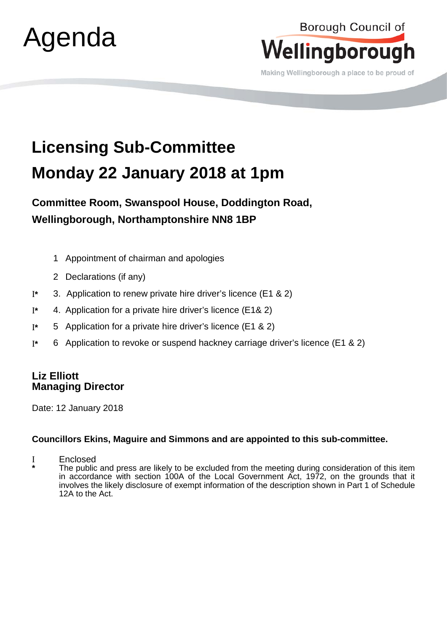

## Borough Council of Wellingborough

Making Wellingborough a place to be proud of

## **Licensing Sub-Committee Monday 22 January 2018 at 1pm**

**Committee Room, Swanspool House, Doddington Road, Wellingborough, Northamptonshire NN8 1BP**

- 1 Appointment of chairman and apologies
- 2 Declarations (if any)
- Ι**\*** 3. Application to renew private hire driver's licence (E1 & 2)
- Ι**\*** 4. Application for a private hire driver's licence (E1& 2)
- Ι**\*** 5 Application for a private hire driver's licence (E1 & 2)
- Ι**\*** 6 Application to revoke or suspend hackney carriage driver's licence (E1 & 2)

## **Liz Elliott Managing Director**

Date: 12 January 2018

## **Councillors Ekins, Maguire and Simmons and are appointed to this sub-committee.**

Ι Enclosed

The public and press are likely to be excluded from the meeting during consideration of this item in accordance with section 100A of the Local Government Act, 1972, on the grounds that it involves the likely disclosure of exempt information of the description shown in Part 1 of Schedule 12A to the Act.